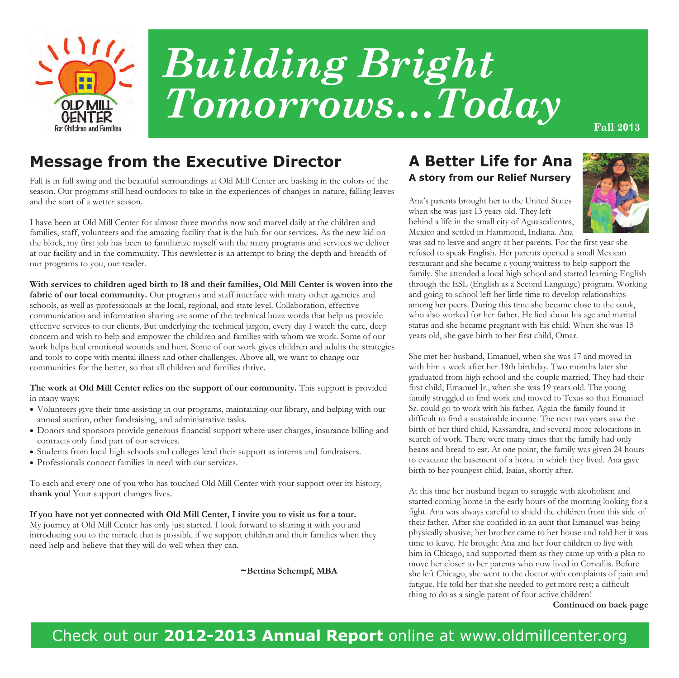

# *Building Bright*   $Tomorrows...Today$

## **Message from the Executive Director**

Fall is in full swing and the beautiful surroundings at Old Mill Center are basking in the colors of the season. Our programs still head outdoors to take in the experiences of changes in nature, falling leaves and the start of a wetter season.

I have been at Old Mill Center for almost three months now and marvel daily at the children and families, staff, volunteers and the amazing facility that is the hub for our services. As the new kid on the block, my first job has been to familiarize myself with the many programs and services we deliver at our facility and in the community. This newsletter is an attempt to bring the depth and breadth of our programs to you, our reader.

**With services to children aged birth to 18 and their families, Old Mill Center is woven into the**  fabric of our local community. Our programs and staff interface with many other agencies and schools, as well as professionals at the local, regional, and state level. Collaboration, effective communication and information sharing are some of the technical buzz words that help us provide effective services to our clients. But underlying the technical jargon, every day I watch the care, deep concern and wish to help and empower the children and families with whom we work. Some of our work helps heal emotional wounds and hurt. Some of our work gives children and adults the strategies and tools to cope with mental illness and other challenges. Above all, we want to change our communities for the better, so that all children and families thrive.

#### **The work at Old Mill Center relies on the support of our community.** This support is provided in many ways:

- Volunteers give their time assisting in our programs, maintaining our library, and helping with our annual auction, other fundraising, and administrative tasks.
- Donors and sponsors provide generous financial support where user charges, insurance billing and contracts only fund part of our services.
- Students from local high schools and colleges lend their support as interns and fundraisers.
- Professionals connect families in need with our services.

To each and every one of you who has touched Old Mill Center with your support over its history, **thank you**! Your support changes lives.

**If you have not yet connected with Old Mill Center, I invite you to visit us for a tour.**  My journey at Old Mill Center has only just started. I look forward to sharing it with you and introducing you to the miracle that is possible if we support children and their families when they need help and believe that they will do well when they can.

 **~Bettina Schempf, MBA** 

#### **A Better Life for Ana A story from our Relief Nursery**

Ana's parents brought her to the United States when she was just 13 years old. They left behind a life in the small city of Aguascalientes, Mexico and settled in Hammond, Indiana. Ana



was sad to leave and angry at her parents. For the first year she refused to speak English. Her parents opened a small Mexican restaurant and she became a young waitress to help support the family. She attended a local high school and started learning English through the ESL (English as a Second Language) program. Working and going to school left her little time to develop relationships among her peers. During this time she became close to the cook, who also worked for her father. He lied about his age and marital status and she became pregnant with his child. When she was 15 years old, she gave birth to her first child, Omar.

She met her husband, Emanuel, when she was 17 and moved in with him a week after her 18th birthday. Two months later she graduated from high school and the couple married. They had their first child, Emanuel Jr., when she was 19 years old. The young family struggled to find work and moved to Texas so that Emanuel Sr. could go to work with his father. Again the family found it difficult to find a sustainable income. The next two years saw the birth of her third child, Kassandra, and several more relocations in search of work. There were many times that the family had only beans and bread to eat. At one point, the family was given 24 hours to evacuate the basement of a home in which they lived. Ana gave birth to her youngest child, Isaias, shortly after.

At this time her husband began to struggle with alcoholism and started coming home in the early hours of the morning looking for a fight. Ana was always careful to shield the children from this side of their father. After she confided in an aunt that Emanuel was being physically abusive, her brother came to her house and told her it was time to leave. He brought Ana and her four children to live with him in Chicago, and supported them as they came up with a plan to move her closer to her parents who now lived in Corvallis. Before she left Chicago, she went to the doctor with complaints of pain and fatigue. He told her that she needed to get more rest; a difficult thing to do as a single parent of four active children!

**Continued on back page**

# Check out our **2012-2013 Annual Report** online at www.oldmillcenter.org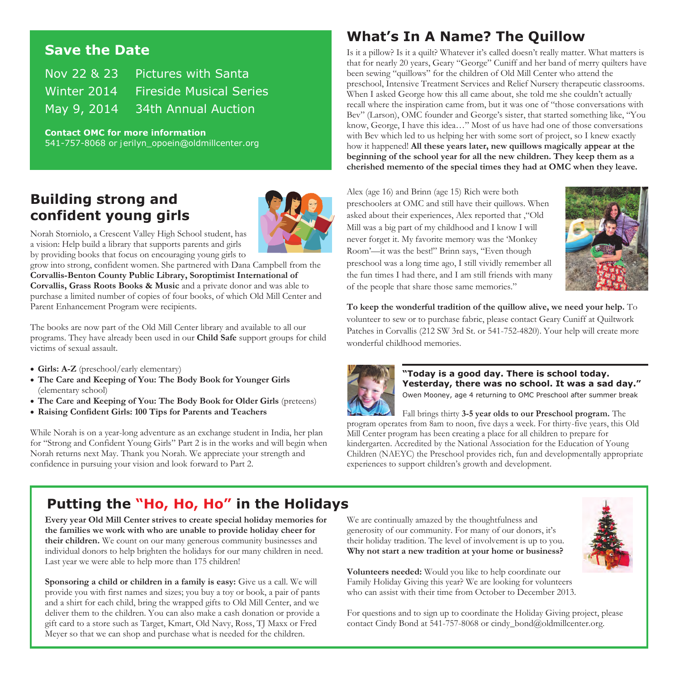#### **Save the Date**

Nov 22 & 23 Pictures with Santa Winter 2014 Fireside Musical Series May 9, 2014 34th Annual Auction

**Contact OMC for more information**  541-757-8068 or jerilyn\_opoein@oldmillcenter.org

## **Building strong and confident young girls**



Norah Storniolo, a Crescent Valley High School student, has a vision: Help build a library that supports parents and girls by providing books that focus on encouraging young girls to

grow into strong, confident women. She partnered with Dana Campbell from the **Corvallis-Benton County Public Library, Soroptimist International of Corvallis, Grass Roots Books & Music** and a private donor and was able to purchase a limited number of copies of four books, of which Old Mill Center and Parent Enhancement Program were recipients.

The books are now part of the Old Mill Center library and available to all our programs. They have already been used in our **Child Safe** support groups for child victims of sexual assault.

- **Girls: A-Z** (preschool/early elementary)
- **The Care and Keeping of You: The Body Book for Younger Girls**  (elementary school)
- **The Care and Keeping of You: The Body Book for Older Girls** (preteens)
- **Raising Confident Girls: 100 Tips for Parents and Teachers**

While Norah is on a year-long adventure as an exchange student in India, her plan for "Strong and Confident Young Girls" Part 2 is in the works and will begin when Norah returns next May. Thank you Norah. We appreciate your strength and confidence in pursuing your vision and look forward to Part 2.

## **What's In A Name? The Quillow**

Is it a pillow? Is it a quilt? Whatever it's called doesn't really matter. What matters is that for nearly 20 years, Geary "George" Cuniff and her band of merry quilters have been sewing "quillows" for the children of Old Mill Center who attend the preschool, Intensive Treatment Services and Relief Nursery therapeutic classrooms. When I asked George how this all came about, she told me she couldn't actually recall where the inspiration came from, but it was one of "those conversations with Bev" (Larson), OMC founder and George's sister, that started something like, "You know, George, I have this idea…" Most of us have had one of those conversations with Bev which led to us helping her with some sort of project, so I knew exactly how it happened! **All these years later, new quillows magically appear at the beginning of the school year for all the new children. They keep them as a cherished memento of the special times they had at OMC when they leave.** 

Alex (age 16) and Brinn (age 15) Rich were both preschoolers at OMC and still have their quillows. When asked about their experiences, Alex reported that ,"Old Mill was a big part of my childhood and I know I will never forget it. My favorite memory was the 'Monkey Room'—it was the best!" Brinn says, "Even though preschool was a long time ago, I still vividly remember all the fun times I had there, and I am still friends with many of the people that share those same memories."



**To keep the wonderful tradition of the quillow alive, we need your help.** To volunteer to sew or to purchase fabric, please contact Geary Cuniff at Quiltwork Patches in Corvallis (212 SW 3rd St. or 541-752-4820). Your help will create more wonderful childhood memories.



**"Today is a good day. There is school today. Yesterday, there was no school. It was a sad day."**  Owen Mooney, age 4 returning to OMC Preschool after summer break

Fall brings thirty **3-5 year olds to our Preschool program.** The program operates from 8am to noon, five days a week. For thirty-five years, this Old Mill Center program has been creating a place for all children to prepare for kindergarten. Accredited by the National Association for the Education of Young Children (NAEYC) the Preschool provides rich, fun and developmentally appropriate experiences to support children's growth and development.

## **Putting the "Ho, Ho, Ho" in the Holidays**

**Every year Old Mill Center strives to create special holiday memories for the families we work with who are unable to provide holiday cheer for their children.** We count on our many generous community businesses and individual donors to help brighten the holidays for our many children in need. Last year we were able to help more than 175 children!

**Sponsoring a child or children in a family is easy:** Give us a call. We will provide you with first names and sizes; you buy a toy or book, a pair of pants and a shirt for each child, bring the wrapped gifts to Old Mill Center, and we deliver them to the children. You can also make a cash donation or provide a gift card to a store such as Target, Kmart, Old Navy, Ross, TJ Maxx or Fred Meyer so that we can shop and purchase what is needed for the children.

We are continually amazed by the thoughtfulness and generosity of our community. For many of our donors, it's their holiday tradition. The level of involvement is up to you. **Why not start a new tradition at your home or business?** 



**Volunteers needed:** Would you like to help coordinate our Family Holiday Giving this year? We are looking for volunteers who can assist with their time from October to December 2013.

For questions and to sign up to coordinate the Holiday Giving project, please contact Cindy Bond at 541-757-8068 or cindy\_bond@oldmillcenter.org.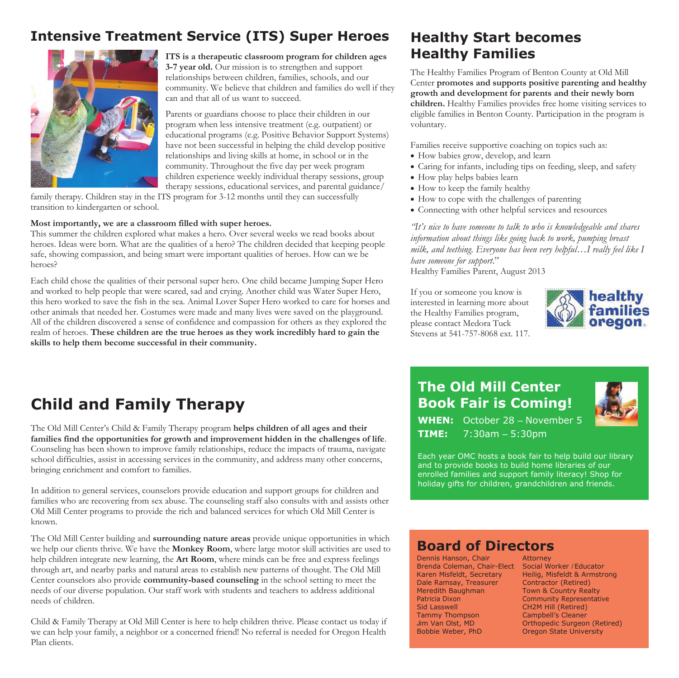### **Intensive Treatment Service (ITS) Super Heroes**



**ITS is a therapeutic classroom program for children ages 3-7 year old.** Our mission is to strengthen and support relationships between children, families, schools, and our community. We believe that children and families do well if they can and that all of us want to succeed.

Parents or guardians choose to place their children in our program when less intensive treatment (e.g. outpatient) or educational programs (e.g. Positive Behavior Support Systems) have not been successful in helping the child develop positive relationships and living skills at home, in school or in the community. Throughout the five day per week program children experience weekly individual therapy sessions, group therapy sessions, educational services, and parental guidance/

family therapy. Children stay in the ITS program for 3-12 months until they can successfully transition to kindergarten or school.

#### **Most importantly, we are a classroom filled with super heroes.**

This summer the children explored what makes a hero. Over several weeks we read books about heroes. Ideas were born. What are the qualities of a hero? The children decided that keeping people safe, showing compassion, and being smart were important qualities of heroes. How can we be heroes?

Each child chose the qualities of their personal super hero. One child became Jumping Super Hero and worked to help people that were scared, sad and crying. Another child was Water Super Hero, this hero worked to save the fish in the sea. Animal Lover Super Hero worked to care for horses and other animals that needed her. Costumes were made and many lives were saved on the playground. All of the children discovered a sense of confidence and compassion for others as they explored the realm of heroes. **These children are the true heroes as they work incredibly hard to gain the skills to help them become successful in their community.** 

# **Child and Family Therapy**

The Old Mill Center's Child & Family Therapy program **helps children of all ages and their families find the opportunities for growth and improvement hidden in the challenges of life**. Counseling has been shown to improve family relationships, reduce the impacts of trauma, navigate school difficulties, assist in accessing services in the community, and address many other concerns, bringing enrichment and comfort to families.

In addition to general services, counselors provide education and support groups for children and families who are recovering from sex abuse. The counseling staff also consults with and assists other Old Mill Center programs to provide the rich and balanced services for which Old Mill Center is known.

The Old Mill Center building and **surrounding nature areas** provide unique opportunities in which we help our clients thrive. We have the **Monkey Room**, where large motor skill activities are used to help children integrate new learning, the **Art Room**, where minds can be free and express feelings through art, and nearby parks and natural areas to establish new patterns of thought. The Old Mill Center counselors also provide **community-based counseling** in the school setting to meet the needs of our diverse population. Our staff work with students and teachers to address additional needs of children.

Child & Family Therapy at Old Mill Center is here to help children thrive. Please contact us today if we can help your family, a neighbor or a concerned friend! No referral is needed for Oregon Health Plan clients.

#### **Healthy Start becomes Healthy Families**

The Healthy Families Program of Benton County at Old Mill Center **promotes and supports positive parenting and healthy growth and development for parents and their newly born children.** Healthy Families provides free home visiting services to eligible families in Benton County. Participation in the program is voluntary.

Families receive supportive coaching on topics such as:

- How babies grow, develop, and learn
- Caring for infants, including tips on feeding, sleep, and safety
- How play helps babies learn
- How to keep the family healthy
- How to cope with the challenges of parenting
- Connecting with other helpful services and resources

*"It's nice to have someone to talk to who is knowledgeable and shares information about things like going back to work, pumping breast milk, and teething. Everyone has been very helpful…I really feel like I have someone for support*."

Healthy Families Parent, August 2013

If you or someone you know is interested in learning more about the Healthy Families program, please contact Medora Tuck Stevens at 541-757-8068 ext. 117.



# **The Old Mill Center Book Fair is Coming!**



**WHEN:** October 28 – November 5 **TIME:** 7:30am – 5:30pm

Each year OMC hosts a book fair to help build our library and to provide books to build home libraries of our enrolled families and support family literacy! Shop for holiday gifts for children, grandchildren and friends.

#### **Board of Directors**

Dennis Hanson, Chair **Attorney** Brenda Coleman, Chair-Elect Social Worker / Educator Karen Misfeldt, Secretary Heilig, Misfeldt & Armstrong Dale Ramsay, Treasurer Contractor (Retired) Meredith Baughman Town & Country Realty Patricia Dixon Community Representative Sid Lasswell **CH2M Hill (Retired)** Tammy Thompson Campbell's Cleaner

Jim Van Olst, MD Orthopedic Surgeon (Retired) Bobbie Weber, PhD Oregon State University